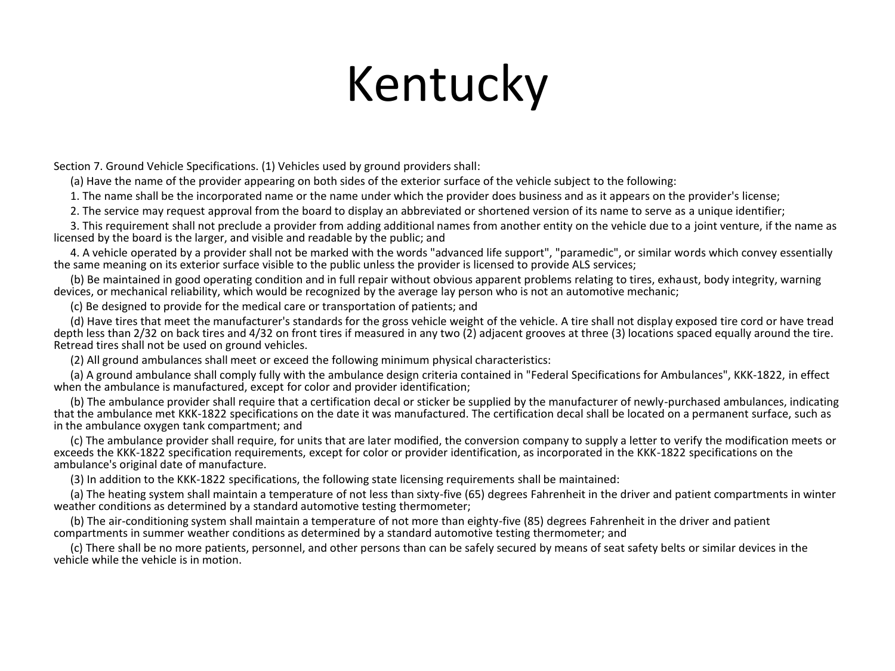### Kentucky

Section 7. Ground Vehicle Specifications. (1) Vehicles used by ground providers shall:

(a) Have the name of the provider appearing on both sides of the exterior surface of the vehicle subject to the following:

1. The name shall be the incorporated name or the name under which the provider does business and as it appears on the provider's license;

2. The service may request approval from the board to display an abbreviated or shortened version of its name to serve as a unique identifier;

 3. This requirement shall not preclude a provider from adding additional names from another entity on the vehicle due to a joint venture, if the name as licensed by the board is the larger, and visible and readable by the public; and

 4. A vehicle operated by a provider shall not be marked with the words "advanced life support", "paramedic", or similar words which convey essentially the same meaning on its exterior surface visible to the public unless the provider is licensed to provide ALS services;

 (b) Be maintained in good operating condition and in full repair without obvious apparent problems relating to tires, exhaust, body integrity, warning devices, or mechanical reliability, which would be recognized by the average lay person who is not an automotive mechanic;

(c) Be designed to provide for the medical care or transportation of patients; and

 (d) Have tires that meet the manufacturer's standards for the gross vehicle weight of the vehicle. A tire shall not display exposed tire cord or have tread depth less than 2/32 on back tires and 4/32 on front tires if measured in any two (2) adjacent grooves at three (3) locations spaced equally around the tire. Retread tires shall not be used on ground vehicles.

(2) All ground ambulances shall meet or exceed the following minimum physical characteristics:

 (a) A ground ambulance shall comply fully with the ambulance design criteria contained in "Federal Specifications for Ambulances", KKK-1822, in effect when the ambulance is manufactured, except for color and provider identification;

 (b) The ambulance provider shall require that a certification decal or sticker be supplied by the manufacturer of newly-purchased ambulances, indicating that the ambulance met KKK-1822 specifications on the date it was manufactured. The certification decal shall be located on a permanent surface, such as in the ambulance oxygen tank compartment; and

 (c) The ambulance provider shall require, for units that are later modified, the conversion company to supply a letter to verify the modification meets or exceeds the KKK-1822 specification requirements, except for color or provider identification, as incorporated in the KKK-1822 specifications on the ambulance's original date of manufacture.

(3) In addition to the KKK-1822 specifications, the following state licensing requirements shall be maintained:

 (a) The heating system shall maintain a temperature of not less than sixty-five (65) degrees Fahrenheit in the driver and patient compartments in winter weather conditions as determined by a standard automotive testing thermometer;

 (b) The air-conditioning system shall maintain a temperature of not more than eighty-five (85) degrees Fahrenheit in the driver and patient compartments in summer weather conditions as determined by a standard automotive testing thermometer; and

 (c) There shall be no more patients, personnel, and other persons than can be safely secured by means of seat safety belts or similar devices in the vehicle while the vehicle is in motion.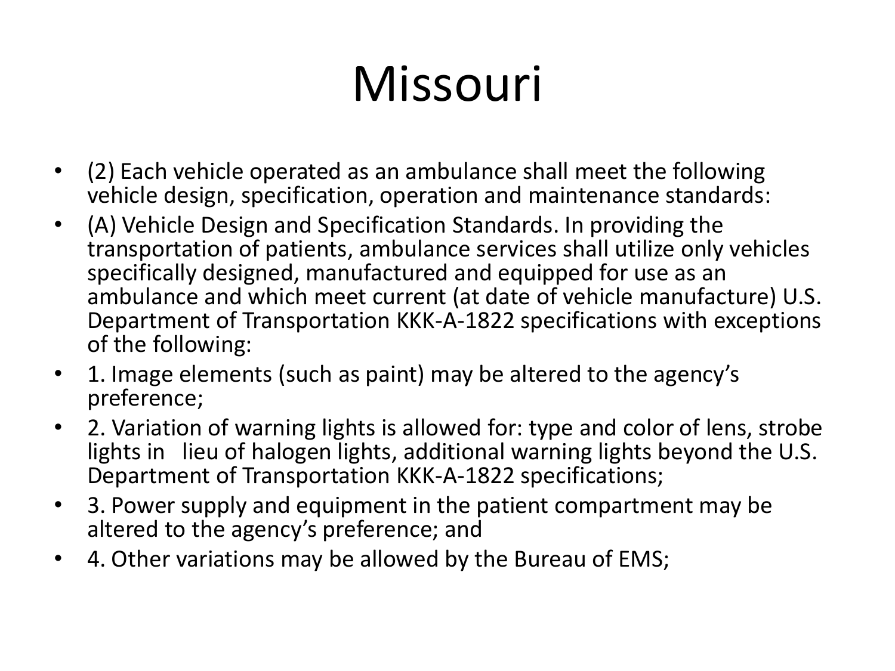## Missouri

- (2) Each vehicle operated as an ambulance shall meet the following vehicle design, specification, operation and maintenance standards:
- (A) Vehicle Design and Specification Standards. In providing the transportation of patients, ambulance services shall utilize only vehicles specifically designed, manufactured and equipped for use as an ambulance and which meet current (at date of vehicle manufacture) U.S. Department of Transportation KKK-A-1822 specifications with exceptions of the following:
- 1. Image elements (such as paint) may be altered to the agency's preference;
- 2. Variation of warning lights is allowed for: type and color of lens, strobe lights in lieu of halogen lights, additional warning lights beyond the U.S. Department of Transportation KKK-A-1822 specifications;
- 3. Power supply and equipment in the patient compartment may be altered to the agency's preference; and
- 4. Other variations may be allowed by the Bureau of EMS;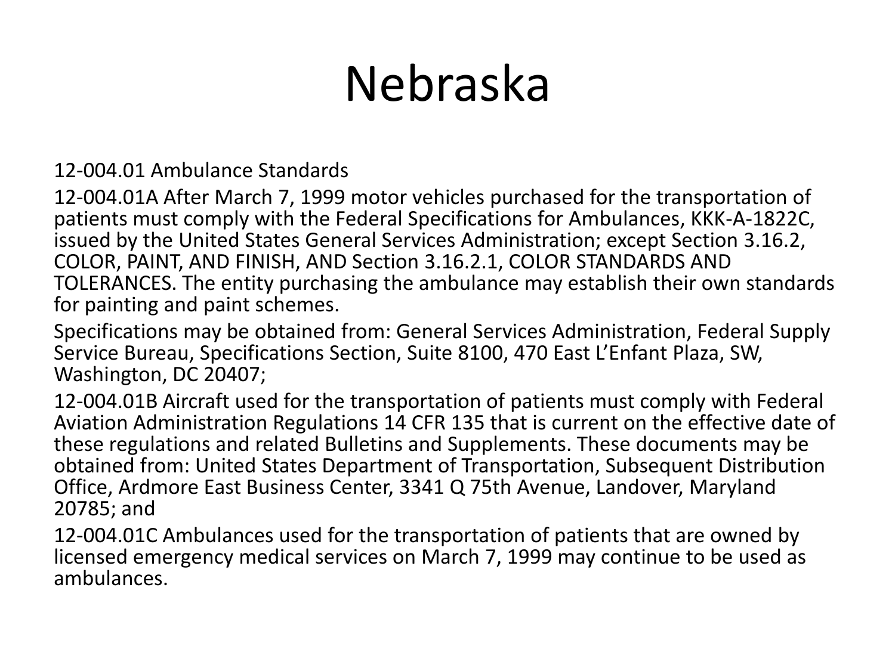## Nebraska

#### 12-004.01 Ambulance Standards

12-004.01A After March 7, 1999 motor vehicles purchased for the transportation of patients must comply with the Federal Specifications for Ambulances, KKK-A-1822C, issued by the United States General Services Administration; except Section 3.16.2, COLOR, PAINT, AND FINISH, AND Section 3.16.2.1, COLOR STANDARDS AND TOLERANCES. The entity purchasing the ambulance may establish their own standards for painting and paint schemes.

Specifications may be obtained from: General Services Administration, Federal Supply Service Bureau, Specifications Section, Suite 8100, 470 East L'Enfant Plaza, SW, Washington, DC 20407;

12-004.01B Aircraft used for the transportation of patients must comply with Federal Aviation Administration Regulations 14 CFR 135 that is current on the effective date of these regulations and related Bulletins and Supplements. These documents may be obtained from: United States Department of Transportation, Subsequent Distribution Office, Ardmore East Business Center, 3341 Q 75th Avenue, Landover, Maryland 20785; and

12-004.01C Ambulances used for the transportation of patients that are owned by licensed emergency medical services on March 7, 1999 may continue to be used as ambulances.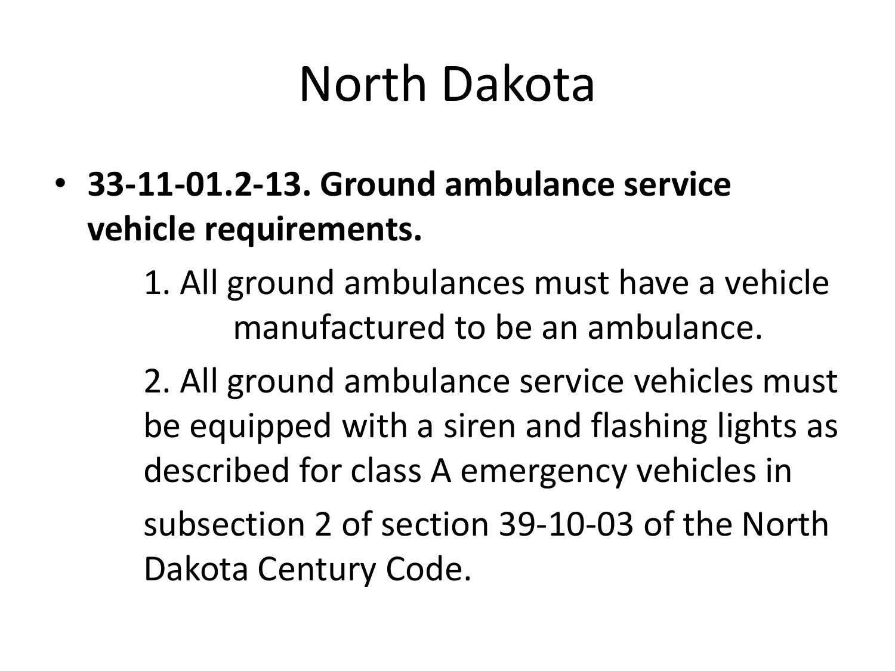## North Dakota

- **33-11-01.2-13. Ground ambulance service vehicle requirements.**
	- 1. All ground ambulances must have a vehicle manufactured to be an ambulance.

2. All ground ambulance service vehicles must be equipped with a siren and flashing lights as described for class A emergency vehicles in subsection 2 of section 39-10-03 of the North Dakota Century Code.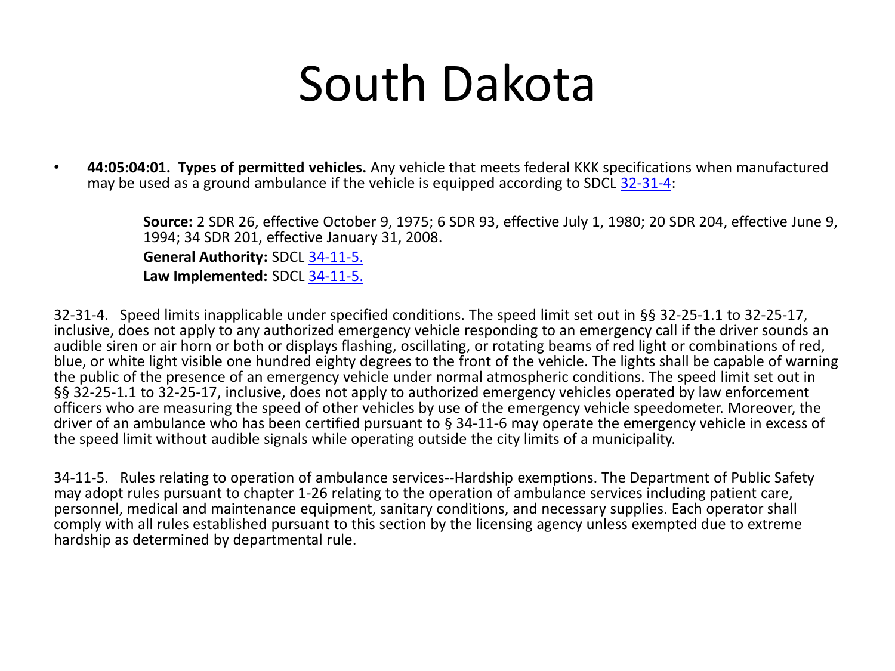### South Dakota

• **44:05:04:01. Types of permitted vehicles.** Any vehicle that meets federal KKK specifications when manufactured may be used as a ground ambulance if the vehicle is equipped according to SDCL [32-31-4](http://legis.state.sd.us/statutes/DisplayStatute.aspx?Type=Statute&Statute=32-31-4):

> **Source:** 2 SDR 26, effective October 9, 1975; 6 SDR 93, effective July 1, 1980; 20 SDR 204, effective June 9, 1994; 34 SDR 201, effective January 31, 2008.

**General Authority:** SDCL [34-11-5.](http://legis.state.sd.us/statutes/DisplayStatute.aspx?Type=Statute&Statute=34-11-5)

**Law Implemented:** SDCL [34-11-5.](http://legis.state.sd.us/statutes/DisplayStatute.aspx?Type=Statute&Statute=34-11-5)

32-31-4. Speed limits inapplicable under specified conditions. The speed limit set out in §§ 32-25-1.1 to 32-25-17, inclusive, does not apply to any authorized emergency vehicle responding to an emergency call if the driver sounds an audible siren or air horn or both or displays flashing, oscillating, or rotating beams of red light or combinations of red, blue, or white light visible one hundred eighty degrees to the front of the vehicle. The lights shall be capable of warning the public of the presence of an emergency vehicle under normal atmospheric conditions. The speed limit set out in §§ 32-25-1.1 to 32-25-17, inclusive, does not apply to authorized emergency vehicles operated by law enforcement officers who are measuring the speed of other vehicles by use of the emergency vehicle speedometer. Moreover, the driver of an ambulance who has been certified pursuant to § 34-11-6 may operate the emergency vehicle in excess of the speed limit without audible signals while operating outside the city limits of a municipality.

34-11-5. Rules relating to operation of ambulance services--Hardship exemptions. The Department of Public Safety may adopt rules pursuant to chapter 1-26 relating to the operation of ambulance services including patient care, personnel, medical and maintenance equipment, sanitary conditions, and necessary supplies. Each operator shall comply with all rules established pursuant to this section by the licensing agency unless exempted due to extreme hardship as determined by departmental rule.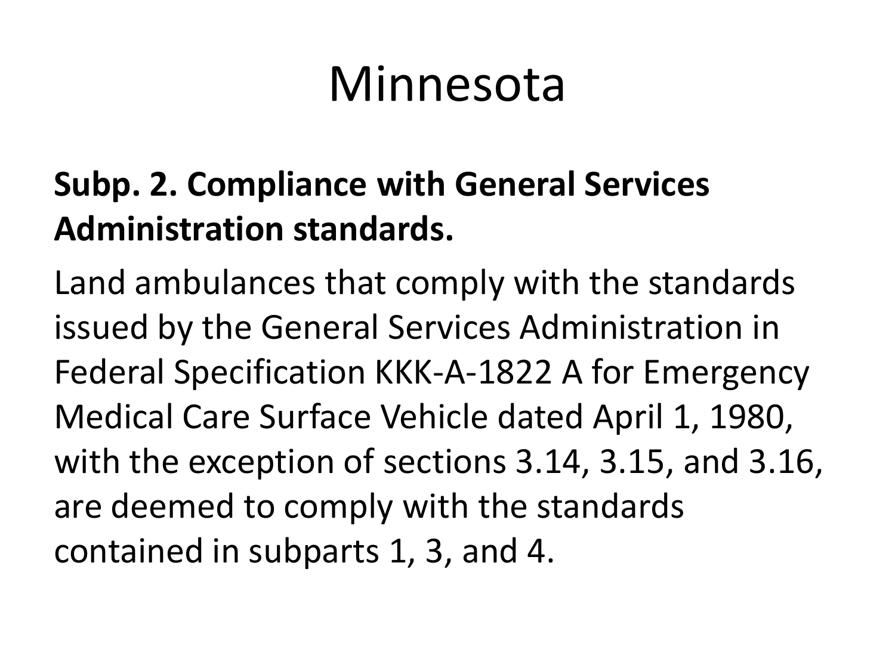### Minnesota

#### **Subp. 2. Compliance with General Services Administration standards.**

Land ambulances that comply with the standards issued by the General Services Administration in Federal Specification KKK-A-1822 A for Emergency Medical Care Surface Vehicle dated April 1, 1980, with the exception of sections 3.14, 3.15, and 3.16, are deemed to comply with the standards contained in subparts 1, 3, and 4.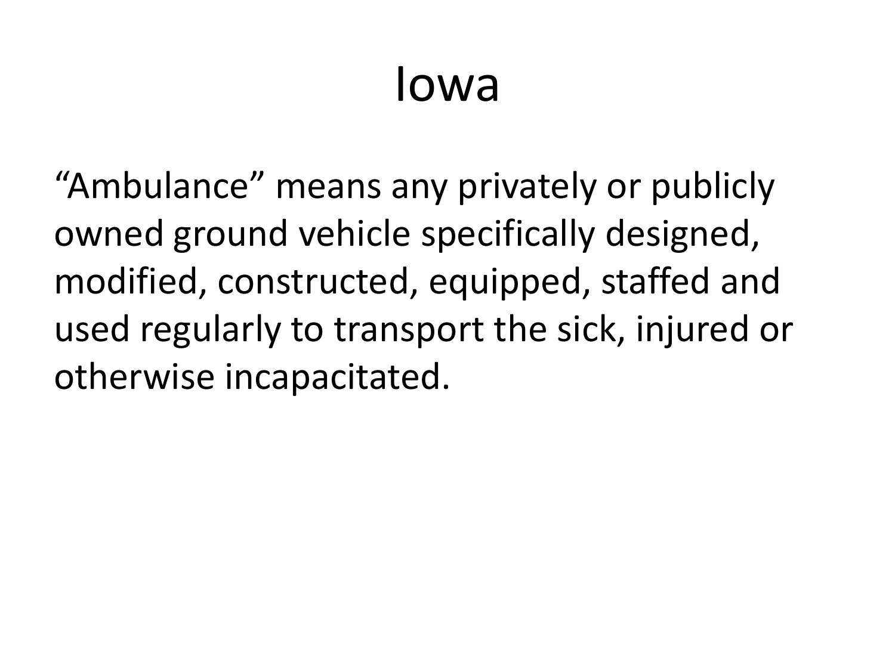#### Iowa

"Ambulance" means any privately or publicly owned ground vehicle specifically designed, modified, constructed, equipped, staffed and used regularly to transport the sick, injured or otherwise incapacitated.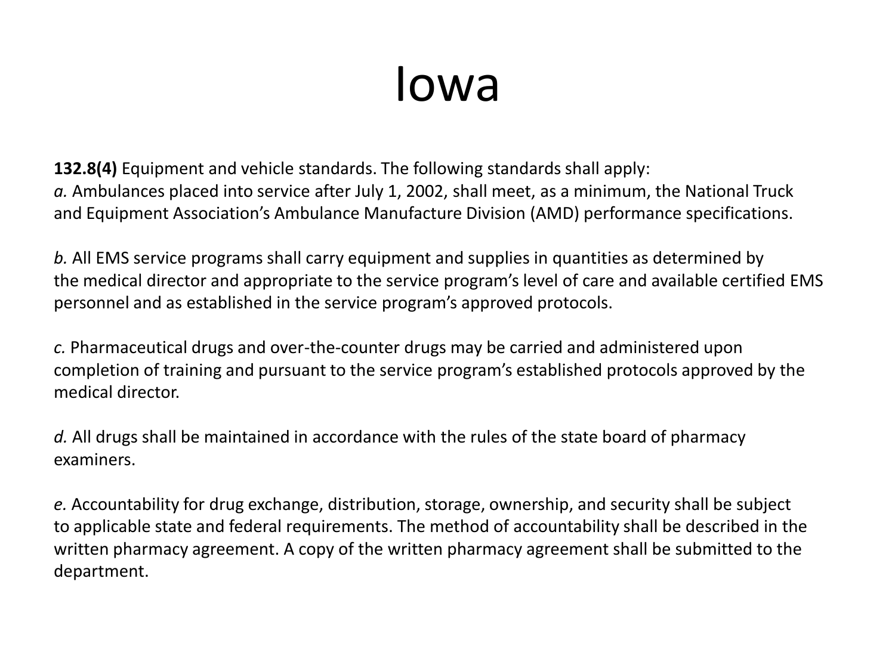#### Iowa

**132.8(4)** Equipment and vehicle standards. The following standards shall apply: *a.* Ambulances placed into service after July 1, 2002, shall meet, as a minimum, the National Truck and Equipment Association's Ambulance Manufacture Division (AMD) performance specifications.

*b.* All EMS service programs shall carry equipment and supplies in quantities as determined by the medical director and appropriate to the service program's level of care and available certified EMS personnel and as established in the service program's approved protocols.

*c.* Pharmaceutical drugs and over-the-counter drugs may be carried and administered upon completion of training and pursuant to the service program's established protocols approved by the medical director.

*d.* All drugs shall be maintained in accordance with the rules of the state board of pharmacy examiners.

*e.* Accountability for drug exchange, distribution, storage, ownership, and security shall be subject to applicable state and federal requirements. The method of accountability shall be described in the written pharmacy agreement. A copy of the written pharmacy agreement shall be submitted to the department.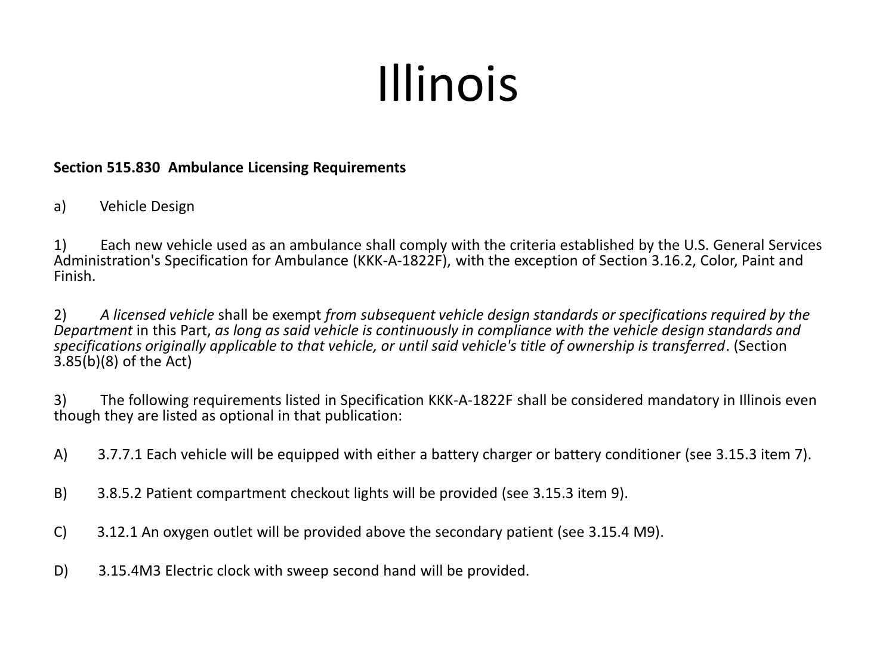# Illinois

#### **Section 515.830 Ambulance Licensing Requirements**

a) Vehicle Design

1) Each new vehicle used as an ambulance shall comply with the criteria established by the U.S. General Services Administration's Specification for Ambulance (KKK-A-1822F), with the exception of Section 3.16.2, Color, Paint and Finish.

2) *A licensed vehicle* shall be exempt *from subsequent vehicle design standards or specifications required by the Department* in this Part, *as long as said vehicle is continuously in compliance with the vehicle design standards and specifications originally applicable to that vehicle, or until said vehicle's title of ownership is transferred*. (Section 3.85(b)(8) of the Act)

3) The following requirements listed in Specification KKK-A-1822F shall be considered mandatory in Illinois even though they are listed as optional in that publication:

- A) 3.7.7.1 Each vehicle will be equipped with either a battery charger or battery conditioner (see 3.15.3 item 7).
- B) 3.8.5.2 Patient compartment checkout lights will be provided (see 3.15.3 item 9).
- C) 3.12.1 An oxygen outlet will be provided above the secondary patient (see 3.15.4 M9).
- D) 3.15.4M3 Electric clock with sweep second hand will be provided.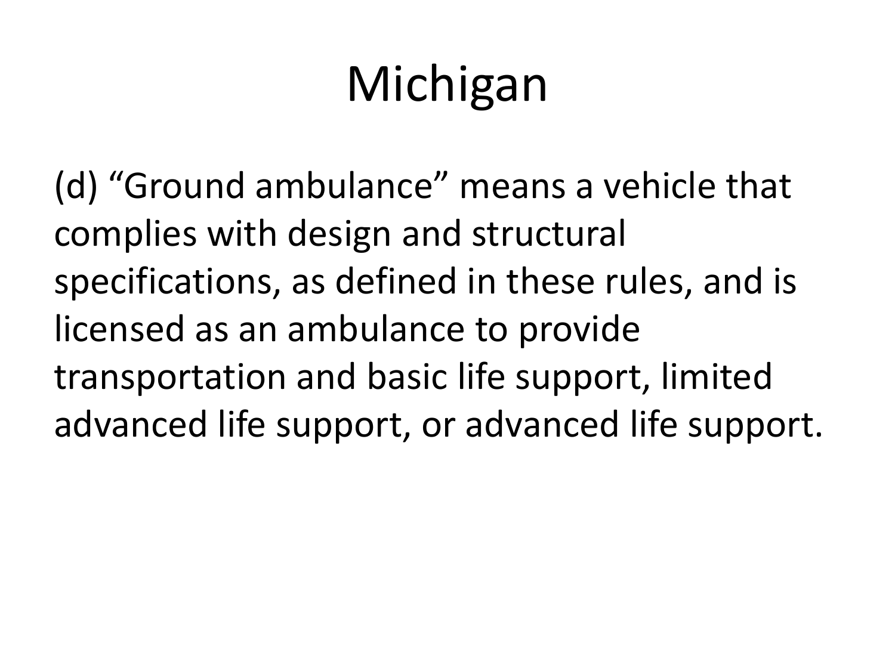# Michigan

(d) "Ground ambulance" means a vehicle that complies with design and structural specifications, as defined in these rules, and is licensed as an ambulance to provide transportation and basic life support, limited advanced life support, or advanced life support.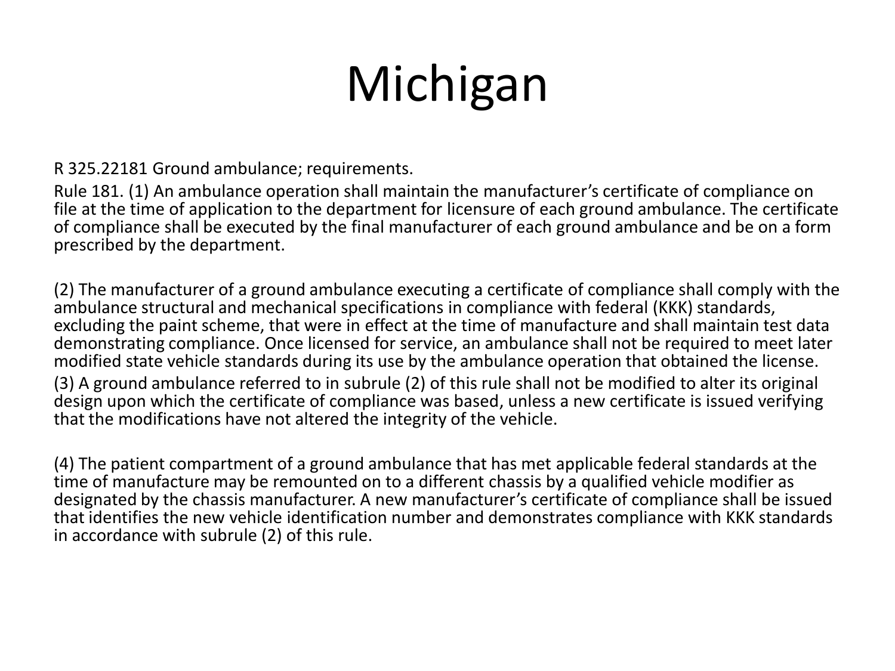## Michigan

R 325.22181 Ground ambulance; requirements.

Rule 181. (1) An ambulance operation shall maintain the manufacturer's certificate of compliance on file at the time of application to the department for licensure of each ground ambulance. The certificate of compliance shall be executed by the final manufacturer of each ground ambulance and be on a form prescribed by the department.

(2) The manufacturer of a ground ambulance executing a certificate of compliance shall comply with the ambulance structural and mechanical specifications in compliance with federal (KKK) standards, excluding the paint scheme, that were in effect at the time of manufacture and shall maintain test data demonstrating compliance. Once licensed for service, an ambulance shall not be required to meet later modified state vehicle standards during its use by the ambulance operation that obtained the license. (3) A ground ambulance referred to in subrule (2) of this rule shall not be modified to alter its original design upon which the certificate of compliance was based, unless a new certificate is issued verifying that the modifications have not altered the integrity of the vehicle.

(4) The patient compartment of a ground ambulance that has met applicable federal standards at the time of manufacture may be remounted on to a different chassis by a qualified vehicle modifier as designated by the chassis manufacturer. A new manufacturer's certificate of compliance shall be issued that identifies the new vehicle identification number and demonstrates compliance with KKK standards in accordance with subrule (2) of this rule.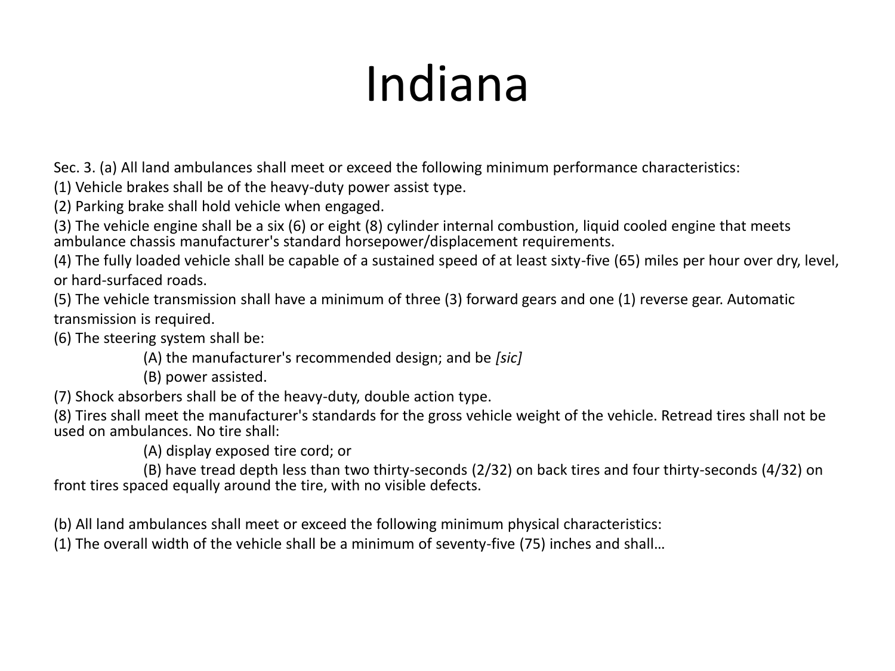## Indiana

Sec. 3. (a) All land ambulances shall meet or exceed the following minimum performance characteristics:

(1) Vehicle brakes shall be of the heavy-duty power assist type.

(2) Parking brake shall hold vehicle when engaged.

(3) The vehicle engine shall be a six (6) or eight (8) cylinder internal combustion, liquid cooled engine that meets ambulance chassis manufacturer's standard horsepower/displacement requirements.

(4) The fully loaded vehicle shall be capable of a sustained speed of at least sixty-five (65) miles per hour over dry, level, or hard-surfaced roads.

(5) The vehicle transmission shall have a minimum of three (3) forward gears and one (1) reverse gear. Automatic transmission is required.

(6) The steering system shall be:

(A) the manufacturer's recommended design; and be *[sic]*

(B) power assisted.

(7) Shock absorbers shall be of the heavy-duty, double action type.

(8) Tires shall meet the manufacturer's standards for the gross vehicle weight of the vehicle. Retread tires shall not be used on ambulances. No tire shall:

(A) display exposed tire cord; or

(B) have tread depth less than two thirty-seconds (2/32) on back tires and four thirty-seconds (4/32) on front tires spaced equally around the tire, with no visible defects.

(b) All land ambulances shall meet or exceed the following minimum physical characteristics:

(1) The overall width of the vehicle shall be a minimum of seventy-five (75) inches and shall…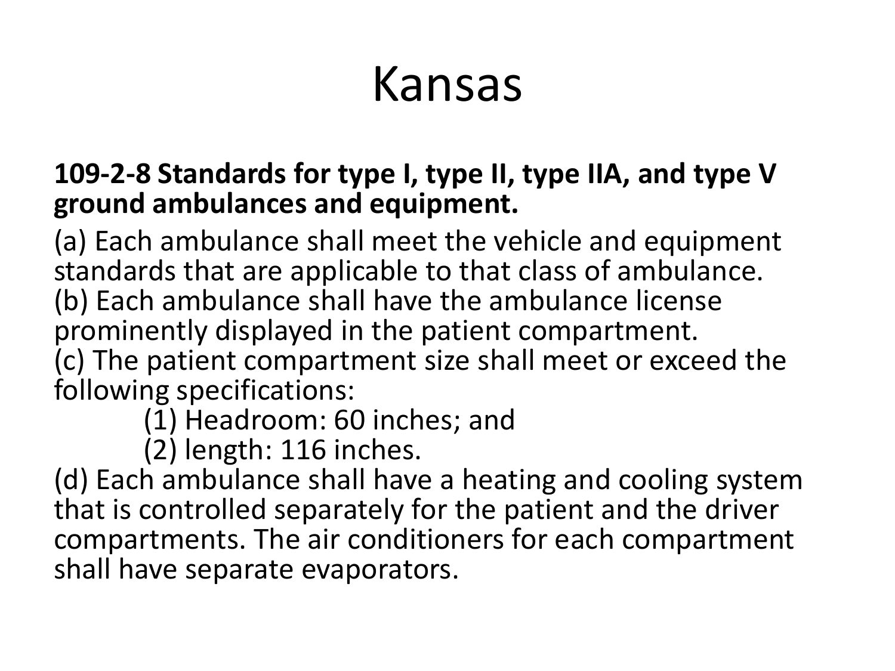### Kansas

#### **109-2-8 Standards for type I, type II, type IIA, and type V ground ambulances and equipment.**

(a) Each ambulance shall meet the vehicle and equipment standards that are applicable to that class of ambulance. (b) Each ambulance shall have the ambulance license prominently displayed in the patient compartment. (c) The patient compartment size shall meet or exceed the following specifications:

(1) Headroom: 60 inches; and

(2) length: 116 inches.

(d) Each ambulance shall have a heating and cooling system that is controlled separately for the patient and the driver compartments. The air conditioners for each compartment shall have separate evaporators.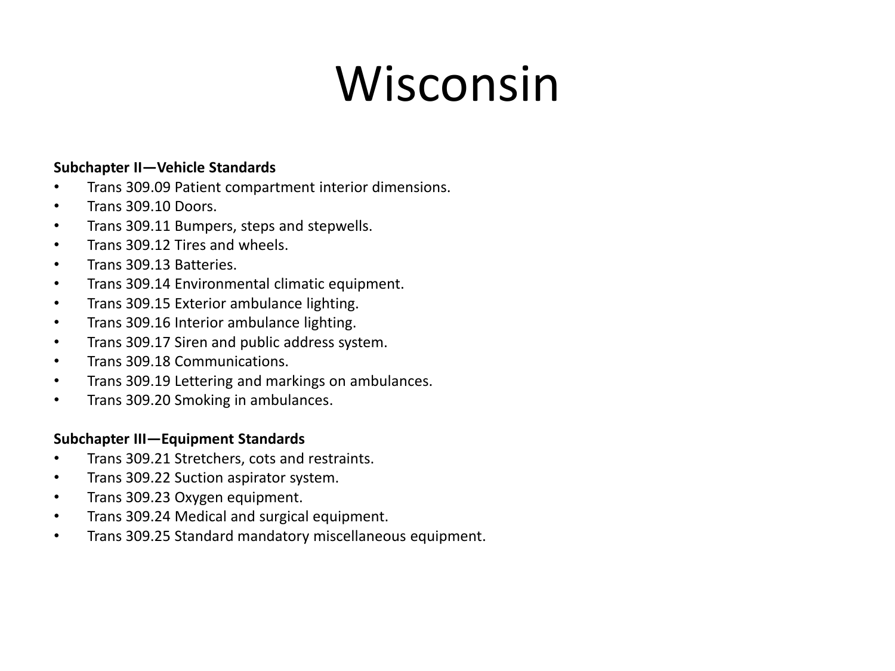## Wisconsin

#### **Subchapter II—Vehicle Standards**

- Trans 309.09 Patient compartment interior dimensions.
- Trans 309.10 Doors.
- Trans 309.11 Bumpers, steps and stepwells.
- Trans 309.12 Tires and wheels.
- Trans 309.13 Batteries.
- Trans 309.14 Environmental climatic equipment.
- Trans 309.15 Exterior ambulance lighting.
- Trans 309.16 Interior ambulance lighting.
- Trans 309.17 Siren and public address system.
- Trans 309.18 Communications.
- Trans 309.19 Lettering and markings on ambulances.
- Trans 309.20 Smoking in ambulances.

#### **Subchapter III—Equipment Standards**

- Trans 309.21 Stretchers, cots and restraints.
- Trans 309.22 Suction aspirator system.
- Trans 309.23 Oxygen equipment.
- Trans 309.24 Medical and surgical equipment.
- Trans 309.25 Standard mandatory miscellaneous equipment.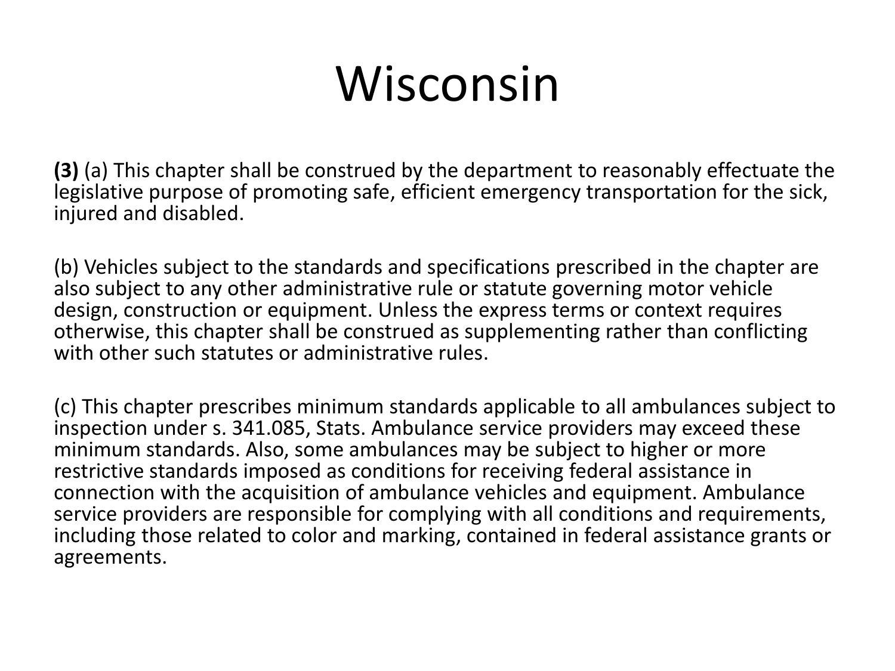## Wisconsin

**(3)** (a) This chapter shall be construed by the department to reasonably effectuate the legislative purpose of promoting safe, efficient emergency transportation for the sick, injured and disabled.

(b) Vehicles subject to the standards and specifications prescribed in the chapter are also subject to any other administrative rule or statute governing motor vehicle design, construction or equipment. Unless the express terms or context requires otherwise, this chapter shall be construed as supplementing rather than conflicting with other such statutes or administrative rules.

(c) This chapter prescribes minimum standards applicable to all ambulances subject to inspection under s. 341.085, Stats. Ambulance service providers may exceed these minimum standards. Also, some ambulances may be subject to higher or more restrictive standards imposed as conditions for receiving federal assistance in connection with the acquisition of ambulance vehicles and equipment. Ambulance service providers are responsible for complying with all conditions and requirements, including those related to color and marking, contained in federal assistance grants or agreements.